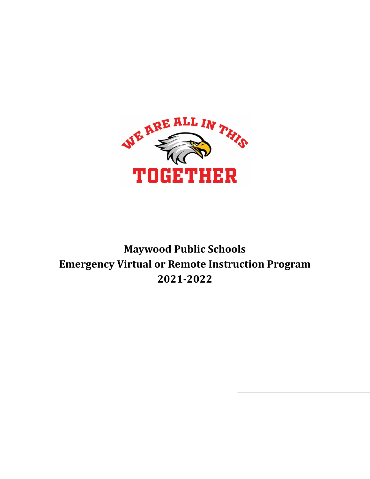

# **Maywood Public Schools Emergency Virtual or Remote Instruction Program 2021-2022**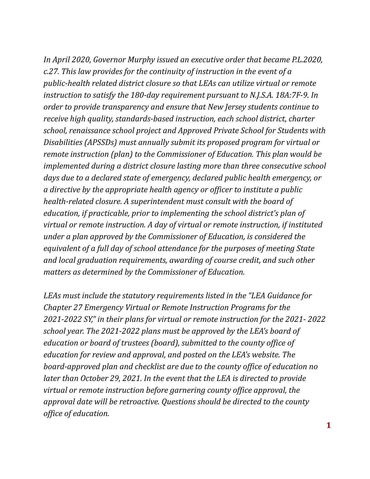*In April 2020, Governor Murphy issued an executive order that became P.L.2020, c.27. This law provides for the continuity of instruction in the event of a public-health related district closure so that LEAs can utilize virtual or remote instruction to satisfy the 180-day requirement pursuant to N.J.S.A. 18A:7F-9. In order to provide transparency and ensure that New Jersey students continue to receive high quality, standards-based instruction, each school district, charter school, renaissance school project and Approved Private School for Students with Disabilities (APSSDs) must annually submit its proposed program for virtual or remote instruction (plan) to the Commissioner of Education. This plan would be implemented during a district closure lasting more than three consecutive school days due to a declared state of emergency, declared public health emergency, or a directive by the appropriate health agency or of icer to institute a public health-related closure. A superintendent must consult with the board of education, if practicable, prior to implementing the school district's plan of virtual or remote instruction. A day of virtual or remote instruction, if instituted under a plan approved by the Commissioner of Education, is considered the equivalent of a full day of school attendance for the purposes of meeting State and local graduation requirements, awarding of course credit, and such other matters as determined by the Commissioner of Education.*

*LEAs must include the statutory requirements listed in the "LEA Guidance for Chapter 27 Emergency Virtual or Remote Instruction Programs for the 2021-2022 SY," in their plans for virtual or remote instruction for the 2021- 2022 school year. The 2021-2022 plans must be approved by the LEA's board of education or board of trustees (board), submitted to the county of ice of education for review and approval, and posted on the LEA's website. The board-approved plan and checklist are due to the county of ice of education no later than October 29, 2021. In the event that the LEA is directed to provide virtual or remote instruction before garnering county of ice approval, the approval date will be retroactive. Questions should be directed to the county of ice of education.*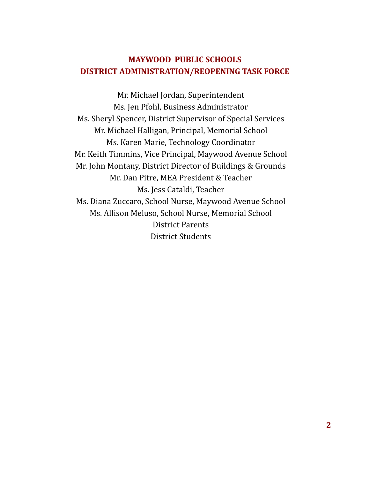# **MAYWOOD PUBLIC SCHOOLS DISTRICT ADMINISTRATION/REOPENING TASK FORCE**

Mr. Michael Jordan, Superintendent Ms. Jen Pfohl, Business Administrator Ms. Sheryl Spencer, District Supervisor of Special Services Mr. Michael Halligan, Principal, Memorial School Ms. Karen Marie, Technology Coordinator Mr. Keith Timmins, Vice Principal, Maywood Avenue School Mr. John Montany, District Director of Buildings & Grounds Mr. Dan Pitre, MEA President & Teacher Ms. Jess Cataldi, Teacher Ms. Diana Zuccaro, School Nurse, Maywood Avenue School Ms. Allison Meluso, School Nurse, Memorial School District Parents District Students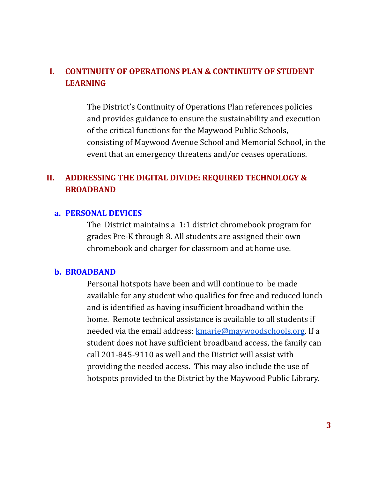# **I. CONTINUITY OF OPERATIONS PLAN & CONTINUITY OF STUDENT LEARNING**

The District's Continuity of Operations Plan references policies and provides guidance to ensure the sustainability and execution of the critical functions for the Maywood Public Schools, consisting of Maywood Avenue School and Memorial School, in the event that an emergency threatens and/or ceases operations.

# **II. ADDRESSING THE DIGITAL DIVIDE: REQUIRED TECHNOLOGY & BROADBAND**

#### **a. PERSONAL DEVICES**

The District maintains a 1:1 district chromebook program for grades Pre-K through 8. All students are assigned their own chromebook and charger for classroom and at home use.

#### **b. BROADBAND**

Personal hotspots have been and will continue to be made available for any student who qualifies for free and reduced lunch and is identified as having insufficient broadband within the home. Remote technical assistance is available to all students if needed via the email address: [kmarie@maywoodschools.org](mailto:kmarie@maywoodschools.org). If a student does not have sufficient broadband access, the family can call 201-845-9110 as well and the District will assist with providing the needed access. This may also include the use of hotspots provided to the District by the Maywood Public Library.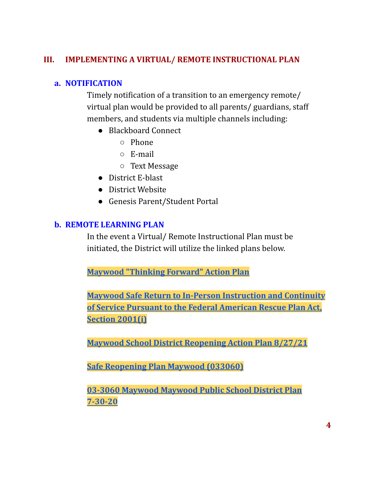## **III. IMPLEMENTING A VIRTUAL/ REMOTE INSTRUCTIONAL PLAN**

## **a. NOTIFICATION**

Timely notification of a transition to an emergency remote/ virtual plan would be provided to all parents/ guardians, staff members, and students via multiple channels including:

- Blackboard Connect
	- Phone
	- E-mail
	- Text Message
- District E-blast
- District Website
- Genesis Parent/Student Portal

# **b. REMOTE LEARNING PLAN**

In the event a Virtual/ Remote Instructional Plan must be initiated, the District will utilize the linked plans below.

**Maywood ["Thinking](https://docs.google.com/document/d/1fm7YUfbCgHE2C0xRBXxgHwcluBZUIsufdLJun3BnL8A/edit?usp=sharing) Forward" Action Plan**

**Maywood Safe Return to In-Person [Instruction](https://www.maywoodschools.org/cms/lib/NJ02201168/Centricity/Domain/8/safereopen.pdf) and Continuity of Service Pursuant to the Federal [American](https://www.maywoodschools.org/cms/lib/NJ02201168/Centricity/Domain/8/safereopen.pdf) Rescue Plan Act, Section [2001\(i\)](https://www.maywoodschools.org/cms/lib/NJ02201168/Centricity/Domain/8/safereopen.pdf)**

**Maywood School District [Reopening](https://docs.google.com/document/d/1PmXvU8qX7GTJNuqz2B9kL3WRr8GxKMSfRoQhzrj5ehA/edit?usp=sharing) Action Plan 8/27/21**

**Safe [Reopening](https://docs.google.com/document/d/1MOwtclhMCRb3ceE9_tXnN1LXKweHb7C9Wryxv7tS6Pg/edit?usp=sharing) Plan Maywood (033060)**

**03-3060 [Maywood](https://docs.google.com/document/d/19S0Fn9xxIEyZkwZgzMJbhqU5jd5dZtiCY9eCeWU4eqQ/edit?usp=sharing) Maywood Public School District Plan [7-30-20](https://docs.google.com/document/d/19S0Fn9xxIEyZkwZgzMJbhqU5jd5dZtiCY9eCeWU4eqQ/edit?usp=sharing)**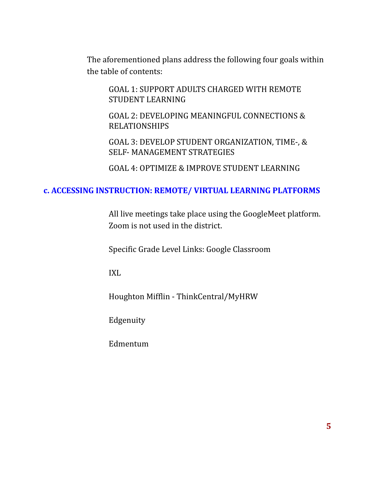The aforementioned plans address the following four goals within the table of contents:

GOAL 1: SUPPORT ADULTS CHARGED WITH REMOTE STUDENT LEARNING

GOAL 2: DEVELOPING MEANINGFUL CONNECTIONS & RELATIONSHIPS

GOAL 3: DEVELOP STUDENT ORGANIZATION, TIME-, & SELF- MANAGEMENT STRATEGIES

GOAL 4: OPTIMIZE & IMPROVE STUDENT LEARNING

### **c. ACCESSING INSTRUCTION: REMOTE/ VIRTUAL LEARNING PLATFORMS**

All live meetings take place using the GoogleMeet platform. Zoom is not used in the district.

Specific Grade Level Links: Google Classroom

IXL

Houghton Mifflin - ThinkCentral/MyHRW

Edgenuity

Edmentum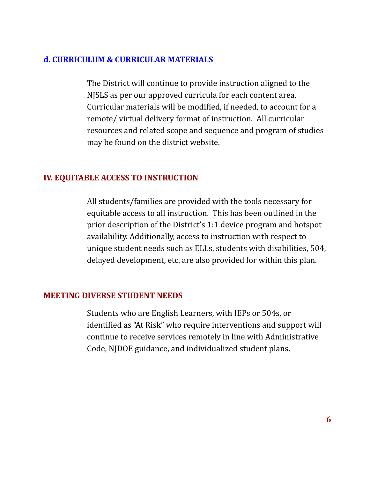### **d. CURRICULUM & CURRICULAR MATERIALS**

The District will continue to provide instruction aligned to the NJSLS as per our approved curricula for each content area. Curricular materials will be modified, if needed, to account for a remote/ virtual delivery format of instruction. All curricular resources and related scope and sequence and program of studies may be found on the district website.

## **IV. EQUITABLE ACCESS TO INSTRUCTION**

All students/families are provided with the tools necessary for equitable access to all instruction. This has been outlined in the prior description of the District's 1:1 device program and hotspot availability. Additionally, access to instruction with respect to unique student needs such as ELLs, students with disabilities, 504, delayed development, etc. are also provided for within this plan.

### **MEETING DIVERSE STUDENT NEEDS**

Students who are English Learners, with IEPs or 504s, or identified as "At Risk" who require interventions and support will continue to receive services remotely in line with Administrative Code, NJDOE guidance, and individualized student plans.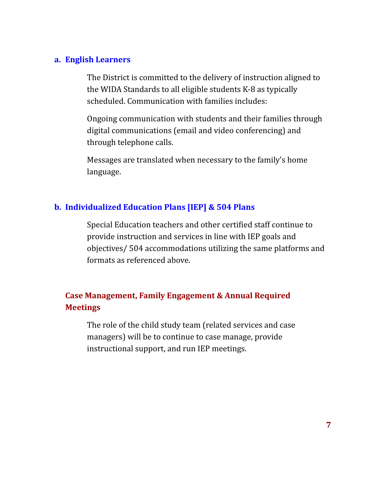#### **a. English Learners**

The District is committed to the delivery of instruction aligned to the WIDA Standards to all eligible students K-8 as typically scheduled. Communication with families includes:

Ongoing communication with students and their families through digital communications (email and video conferencing) and through telephone calls.

Messages are translated when necessary to the family's home language.

## **b. Individualized Education Plans [IEP] & 504 Plans**

Special Education teachers and other certified staff continue to provide instruction and services in line with IEP goals and objectives/ 504 accommodations utilizing the same platforms and formats as referenced above.

# **Case Management, Family Engagement & Annual Required Meetings**

The role of the child study team (related services and case managers) will be to continue to case manage, provide instructional support, and run IEP meetings.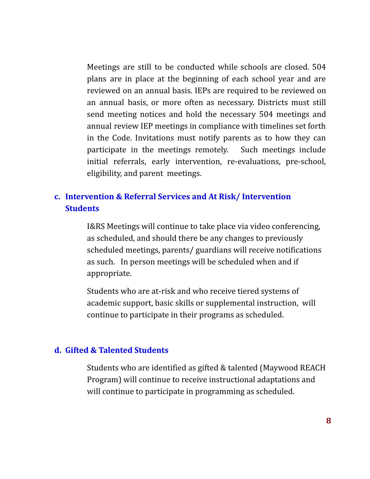Meetings are still to be conducted while schools are closed. 504 plans are in place at the beginning of each school year and are reviewed on an annual basis. IEPs are required to be reviewed on an annual basis, or more often as necessary. Districts must still send meeting notices and hold the necessary 504 meetings and annual review IEP meetings in compliance with timelines set forth in the Code. Invitations must notify parents as to how they can participate in the meetings remotely. Such meetings include initial referrals, early intervention, re-evaluations, pre-school, eligibility, and parent meetings.

# **c. Intervention & Referral Services and At Risk/ Intervention Students**

I&RS Meetings will continue to take place via video conferencing, as scheduled, and should there be any changes to previously scheduled meetings, parents/ guardians will receive notifications as such. In person meetings will be scheduled when and if appropriate.

Students who are at-risk and who receive tiered systems of academic support, basic skills or supplemental instruction, will continue to participate in their programs as scheduled.

#### **d. Gifted & Talented Students**

Students who are identified as gifted & talented (Maywood REACH Program) will continue to receive instructional adaptations and will continue to participate in programming as scheduled.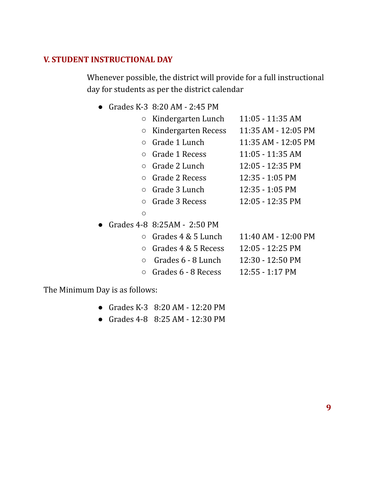## **V. STUDENT INSTRUCTIONAL DAY**

Whenever possible, the district will provide for a full instructional day for students as per the district calendar

● Grades K-3 8:20 AM - 2:45 PM

| $\circ$    | Kindergarten Lunch          | $11:05 - 11:35$ AM         |
|------------|-----------------------------|----------------------------|
| O          | Kindergarten Recess         | 11:35 AM - 12:05 PM        |
| $\bigcirc$ | Grade 1 Lunch               | $11:35$ AM - $12:05$ PM    |
| $\bigcirc$ | Grade 1 Recess              | $11:05 - 11:35$ AM         |
| $\bigcirc$ | Grade 2 Lunch               | $12:05 - 12:35 \text{ PM}$ |
|            | $\circ$ Grade 2 Recess      | $12:35 - 1:05$ PM          |
|            | $\circ$ Grade 3 Lunch       | 12:35 - 1:05 PM            |
| $\bigcirc$ | Grade 3 Recess              | 12:05 - 12:35 PM           |
| O          |                             |                            |
|            | Grades 4-8 8:25AM - 2:50 PM |                            |
|            | $\circ$ Grades 4 & 5 Lunch  | $11:40$ AM - $12:00$ PM    |
| $\circ$    | Grades 4 & 5 Recess         | $12:05 - 12:25 \text{ PM}$ |
| $\Omega$   | Grades 6 - 8 Lunch          | 12:30 - 12:50 PM           |
| $\circ$    | Grades 6 - 8 Recess         | $12:55 - 1:17 \text{ PM}$  |

The Minimum Day is as follows:

- Grades K-3 8:20 AM 12:20 PM
- Grades 4-8 8:25 AM 12:30 PM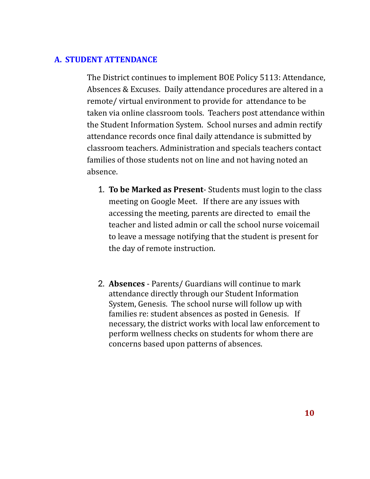### **A. STUDENT ATTENDANCE**

The District continues to implement BOE Policy 5113: Attendance, Absences & Excuses. Daily attendance procedures are altered in a remote/ virtual environment to provide for attendance to be taken via online classroom tools. Teachers post attendance within the Student Information System. School nurses and admin rectify attendance records once final daily attendance is submitted by classroom teachers. Administration and specials teachers contact families of those students not on line and not having noted an absence.

- 1. **To be Marked as Present** Students must login to the class meeting on Google Meet. If there are any issues with accessing the meeting, parents are directed to email the teacher and listed admin or call the school nurse voicemail to leave a message notifying that the student is present for the day of remote instruction.
- 2. **Absences** Parents/ Guardians will continue to mark attendance directly through our Student Information System, Genesis. The school nurse will follow up with families re: student absences as posted in Genesis. If necessary, the district works with local law enforcement to perform wellness checks on students for whom there are concerns based upon patterns of absences.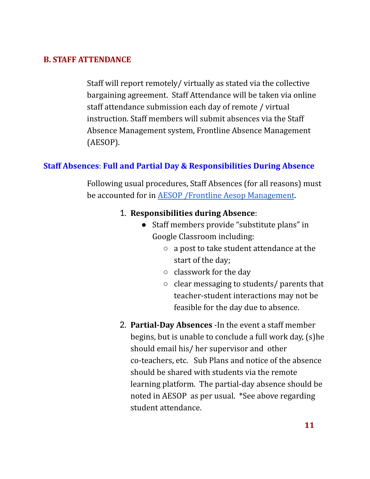### **B. STAFF ATTENDANCE**

Staff will report remotely/ virtually as stated via the collective bargaining agreement. Staff Attendance will be taken via online staff attendance submission each day of remote / virtual instruction. Staff members will submit absences via the Staff Absence Management system, Frontline Absence Management (AESOP).

## **Staff Absences**: **Full and Partial Day & Responsibilities During Absence**

Following usual procedures, Staff Absences (for all reasons) must be accounted for in AESOP /Frontline Aesop [Management](https://login.frontlineeducation.com/login?signin=ea48b95dda9023d3ffd295315145c27c&productId=ABSMGMT&clientId=ABSMGMT#/login).

#### 1. **Responsibilities during Absence**:

- Staff members provide "substitute plans" in Google Classroom including:
	- a post to take student attendance at the start of the day;
	- classwork for the day
	- clear messaging to students/ parents that teacher-student interactions may not be feasible for the day due to absence.
- 2. **Partial-Day Absences** -In the event a staff member begins, but is unable to conclude a full work day, (s)he should email his/ her supervisor and other co-teachers, etc. Sub Plans and notice of the absence should be shared with students via the remote learning platform. The partial-day absence should be noted in AESOP as per usual. \*See above regarding student attendance.